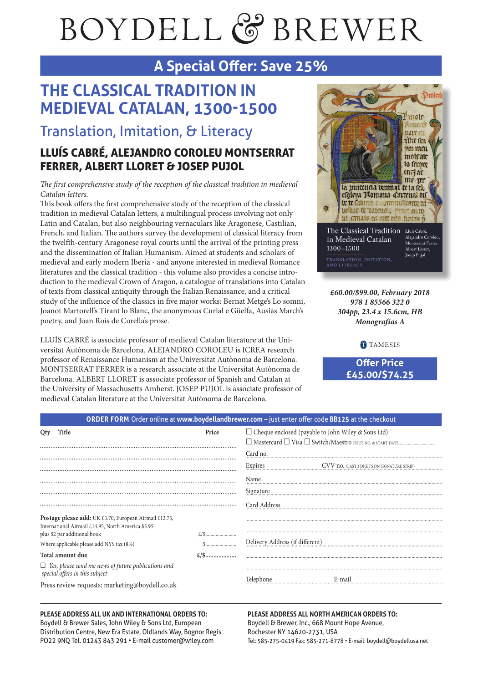# BOYDELL & BREWER

## **A Special Ofer: Save 25%**

# **THE CLASSICAL TRADITION IN MEDIEVAL CATALAN, 1300-1500**

Translation, Imitation, & Literacy

## LLUÍS CABRÉ, ALEJANDRO COROLEU MONTSERRAT FERRER, ALBERT LLORET & JOSEP PUJOL

The first comprehensive study of the reception of the classical tradition in medieval Catalan letters.

This book offers the first comprehensive study of the reception of the classical tradition in medieval Catalan letters, a multilingual process involving not only Latin and Catalan, but also neighbouring vernaculars like Aragonese, Castilian, French, and Italian. The authors survey the development of classical literacy from the twelfh-century Aragonese royal courts until the arrival of the printing press and the dissemination of Italian Humanism. Aimed at students and scholars of medieval and early modern Iberia - and anyone interested in medieval Romance literatures and the classical tradition - this volume also provides a concise introduction to the medieval Crown of Aragon, a catalogue of translations into Catalan of texts from classical antiquity through the Italian Renaissance, and a critical study of the infuence of the classics in fve major works: Bernat Metge's Lo somni, Joanot Martorell's Tirant lo Blanc, the anonymous Curial e Güelfa, Ausiàs March's poetry, and Joan Roís de Corella's prose.

LLUÍS CABRÉ is associate professor of medieval Catalan literature at the Universitat Autònoma de Barcelona. ALEJANDRO COROLEU is ICREA research professor of Renaissance Humanism at the Universitat Autònoma de Barcelona. MONTSERRAT FERRER is a research associate at the Universitat Autònoma de Barcelona. ALBERT LLORET is associate professor of Spanish and Catalan at the University of Massachusetts Amherst. JOSEP PUJOL is associate professor of medieval Catalan literature at the Universitat Autònoma de Barcelona.



**£60.00/\$99.00, February 2018 978 1 85566 322 0 304pp, 23.4 x 15.6cm, HB Monografías A**

**TAMESIS** 

**Ofer Price £45.00/\$74.25**

| ORDER FORM Order online at www.boydellandbrewer.com - just enter offer code BB125 at the checkout                        |
|--------------------------------------------------------------------------------------------------------------------------|
| $\Box$ Cheque enclosed (payable to John Wiley & Sons Ltd)<br>□ Mastercard □ Visa □ Switch/Maestro ISSUE NO. & START DATE |
| Card no.<br>Expires<br>CVV no. (LAST 3 DIGITS ON SIGNATURE STRIP)                                                        |
| Name<br>Signature                                                                                                        |
| Card Address                                                                                                             |
|                                                                                                                          |
| Delivery Address (if different)                                                                                          |
|                                                                                                                          |
|                                                                                                                          |

#### **PLEASE ADDRESS ALL UK AND INTERNATIONAL ORDERS TO:**

Boydell & Brewer Sales, John Wiley & Sons Ltd, European Distribution Centre, New Era Estate, Oldlands Way, Bognor Regis PO22 9NQ Tel. 01243 843 291 • E-mail customer@wiley.com

#### **PLEASE ADDRESS ALL NORTH AMERICAN ORDERS TO:** Boydell & Brewer, Inc., 668 Mount Hope Avenue,

Rochester NY 14620-2731, USA Tel: 585-275-0419 Fax: 585-271-8778 • E-mail: boydell@boydellusa.net